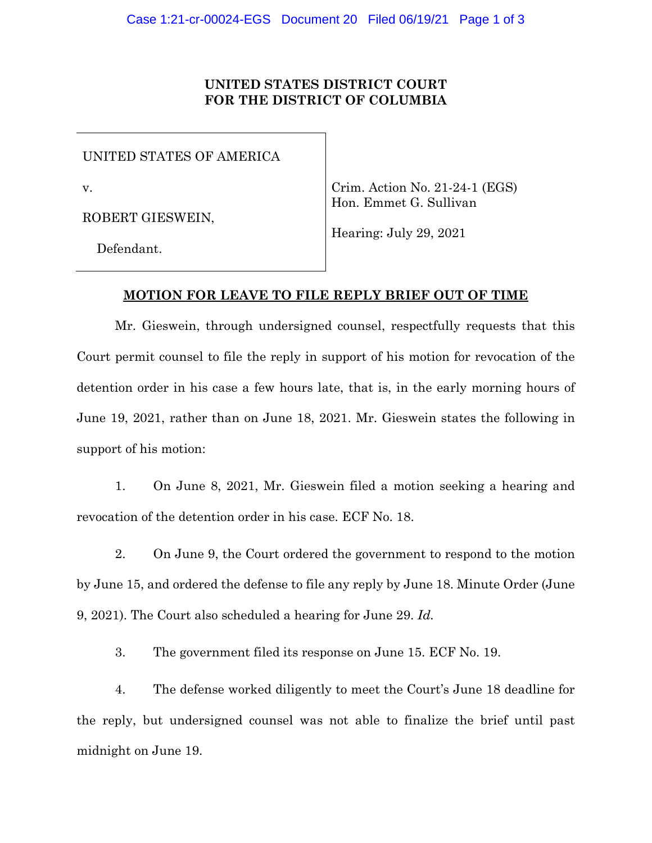# **UNITED STATES DISTRICT COURT FOR THE DISTRICT OF COLUMBIA**

UNITED STATES OF AMERICA

v.

ROBERT GIESWEIN,

Crim. Action No. 21-24-1 (EGS) Hon. Emmet G. Sullivan

Defendant.

Hearing: July 29, 2021

# **MOTION FOR LEAVE TO FILE REPLY BRIEF OUT OF TIME**

Mr. Gieswein, through undersigned counsel, respectfully requests that this Court permit counsel to file the reply in support of his motion for revocation of the detention order in his case a few hours late, that is, in the early morning hours of June 19, 2021, rather than on June 18, 2021. Mr. Gieswein states the following in support of his motion:

1. On June 8, 2021, Mr. Gieswein filed a motion seeking a hearing and revocation of the detention order in his case. ECF No. 18.

2. On June 9, the Court ordered the government to respond to the motion by June 15, and ordered the defense to file any reply by June 18. Minute Order (June 9, 2021). The Court also scheduled a hearing for June 29. *Id.* 

3. The government filed its response on June 15. ECF No. 19.

4. The defense worked diligently to meet the Court's June 18 deadline for the reply, but undersigned counsel was not able to finalize the brief until past midnight on June 19.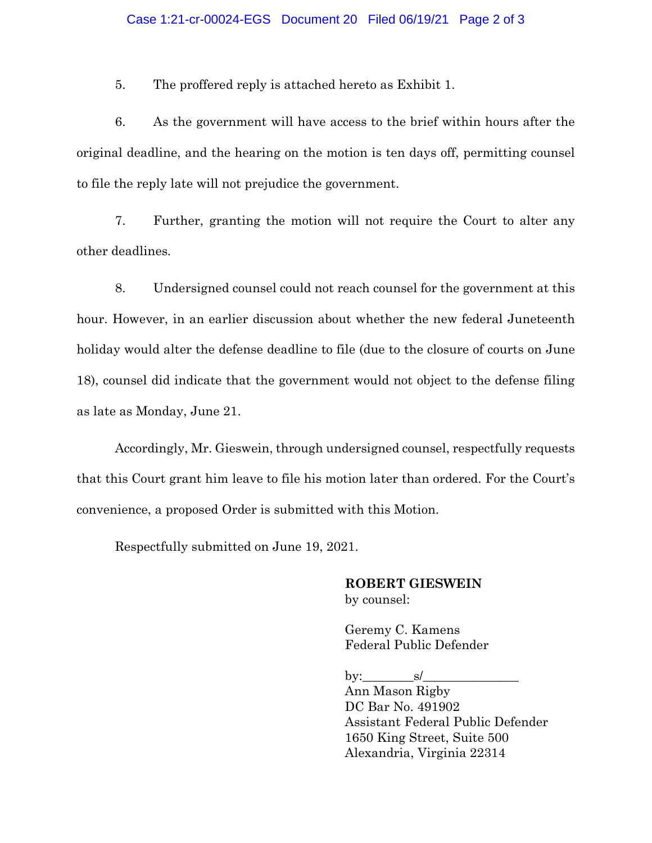5. The proffered reply is attached hereto as Exhibit 1.

6. As the government will have access to the brief within hours after the original deadline, and the hearing on the motion is ten days off, permitting counsel to file the reply late will not prejudice the government.

7. Further, granting the motion will not require the Court to alter any other deadlines*.* 

8. Undersigned counsel could not reach counsel for the government at this hour. However, in an earlier discussion about whether the new federal Juneteenth holiday would alter the defense deadline to file (due to the closure of courts on June 18), counsel did indicate that the government would not object to the defense filing as late as Monday, June 21.

Accordingly, Mr. Gieswein, through undersigned counsel, respectfully requests that this Court grant him leave to file his motion later than ordered. For the Court's convenience, a proposed Order is submitted with this Motion.

Respectfully submitted on June 19, 2021.

# **ROBERT GIESWEIN** by counsel:

Geremy C. Kamens Federal Public Defender

by:  $\qquad s/$ 

Ann Mason Rigby DC Bar No. 491902 Assistant Federal Public Defender 1650 King Street, Suite 500 Alexandria, Virginia 22314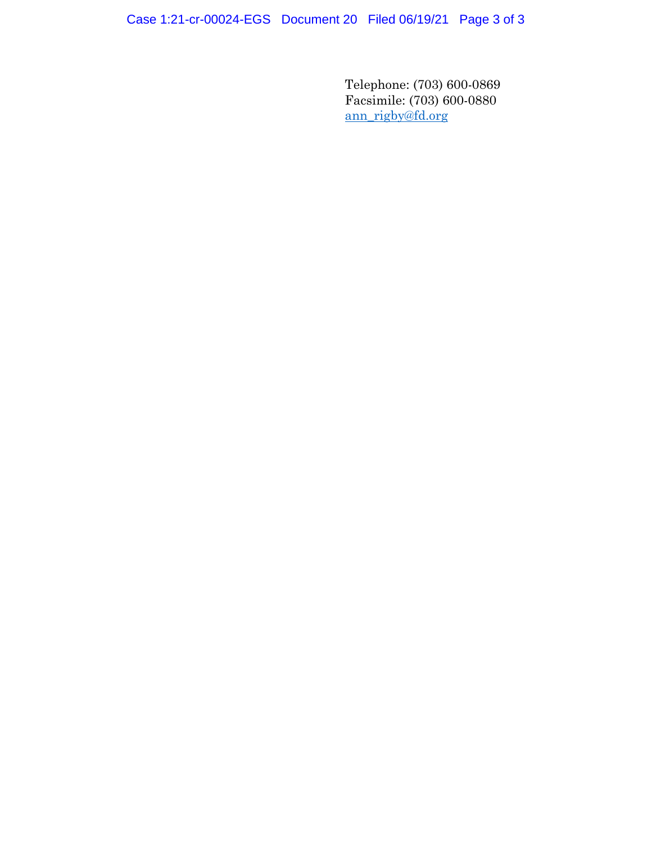Case 1:21-cr-00024-EGS Document 20 Filed 06/19/21 Page 3 of 3

Telephone: (703) 600-0869 Facsimile: (703) 600-0880 ann\_rigby@fd.org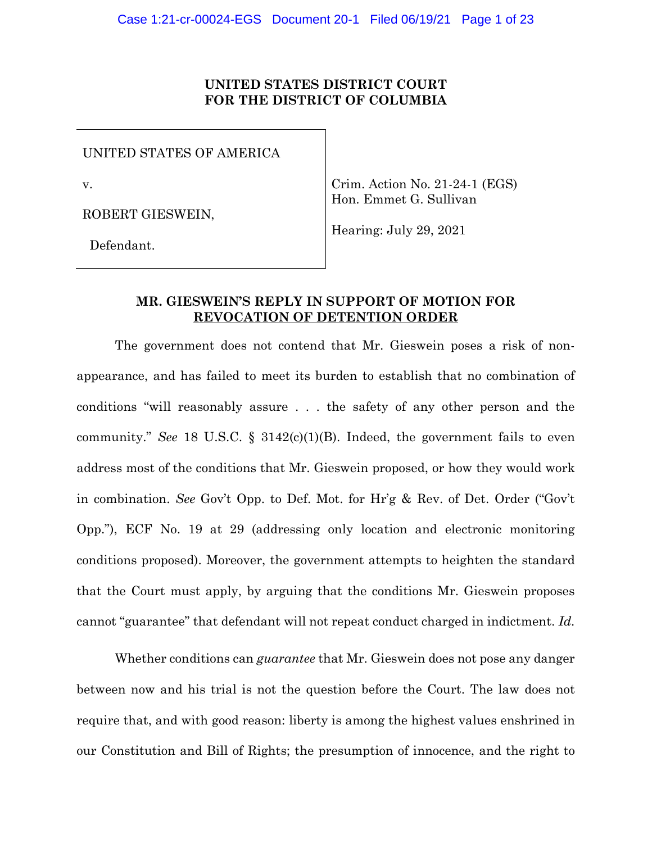# **UNITED STATES DISTRICT COURT FOR THE DISTRICT OF COLUMBIA**

UNITED STATES OF AMERICA

v.

ROBERT GIESWEIN,

Crim. Action No. 21-24-1 (EGS) Hon. Emmet G. Sullivan

Hearing: July 29, 2021

Defendant.

# **MR. GIESWEIN'S REPLY IN SUPPORT OF MOTION FOR REVOCATION OF DETENTION ORDER**

The government does not contend that Mr. Gieswein poses a risk of nonappearance, and has failed to meet its burden to establish that no combination of conditions "will reasonably assure . . . the safety of any other person and the community." *See* 18 U.S.C. § 3142(c)(1)(B). Indeed, the government fails to even address most of the conditions that Mr. Gieswein proposed, or how they would work in combination. *See* Gov't Opp. to Def. Mot. for Hr'g & Rev. of Det. Order ("Gov't Opp."), ECF No. 19 at 29 (addressing only location and electronic monitoring conditions proposed). Moreover, the government attempts to heighten the standard that the Court must apply, by arguing that the conditions Mr. Gieswein proposes cannot "guarantee" that defendant will not repeat conduct charged in indictment. *Id.* 

Whether conditions can *guarantee* that Mr. Gieswein does not pose any danger between now and his trial is not the question before the Court. The law does not require that, and with good reason: liberty is among the highest values enshrined in our Constitution and Bill of Rights; the presumption of innocence, and the right to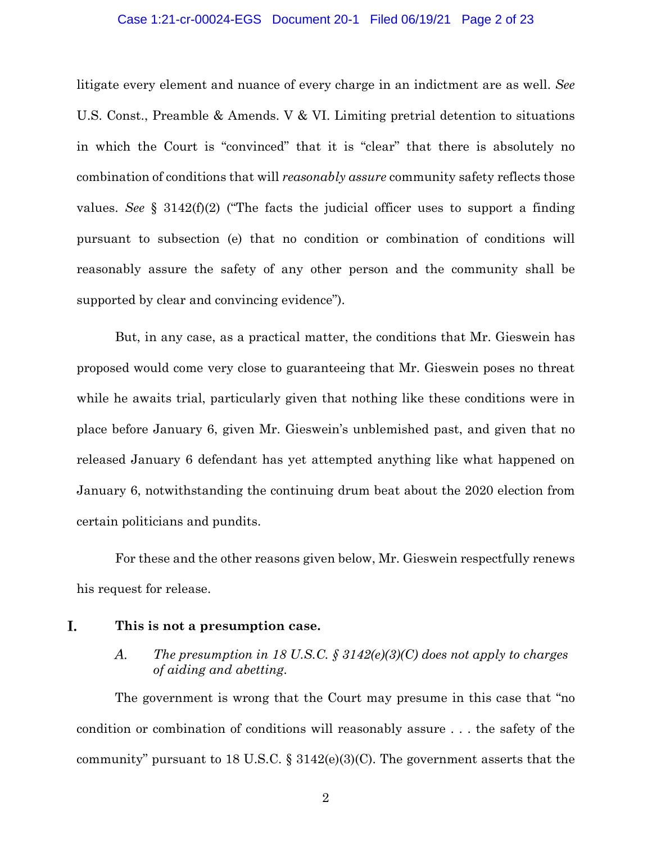## Case 1:21-cr-00024-EGS Document 20-1 Filed 06/19/21 Page 2 of 23

litigate every element and nuance of every charge in an indictment are as well. *See*  U.S. Const., Preamble & Amends. V & VI. Limiting pretrial detention to situations in which the Court is "convinced" that it is "clear" that there is absolutely no combination of conditions that will *reasonably assure* community safety reflects those values. *See* § 3142(f)(2) ("The facts the judicial officer uses to support a finding pursuant to subsection (e) that no condition or combination of conditions will reasonably assure the safety of any other person and the community shall be supported by clear and convincing evidence").

But, in any case, as a practical matter, the conditions that Mr. Gieswein has proposed would come very close to guaranteeing that Mr. Gieswein poses no threat while he awaits trial, particularly given that nothing like these conditions were in place before January 6, given Mr. Gieswein's unblemished past, and given that no released January 6 defendant has yet attempted anything like what happened on January 6, notwithstanding the continuing drum beat about the 2020 election from certain politicians and pundits.

For these and the other reasons given below, Mr. Gieswein respectfully renews his request for release.

#### I. **This is not a presumption case.**

#### *The presumption in 18 U.S.C. § 3142(e)(3)(C) does not apply to charges*  A. *of aiding and abetting.*

The government is wrong that the Court may presume in this case that "no condition or combination of conditions will reasonably assure . . . the safety of the community" pursuant to 18 U.S.C.  $\S 3142(e)(3)(C)$ . The government asserts that the

2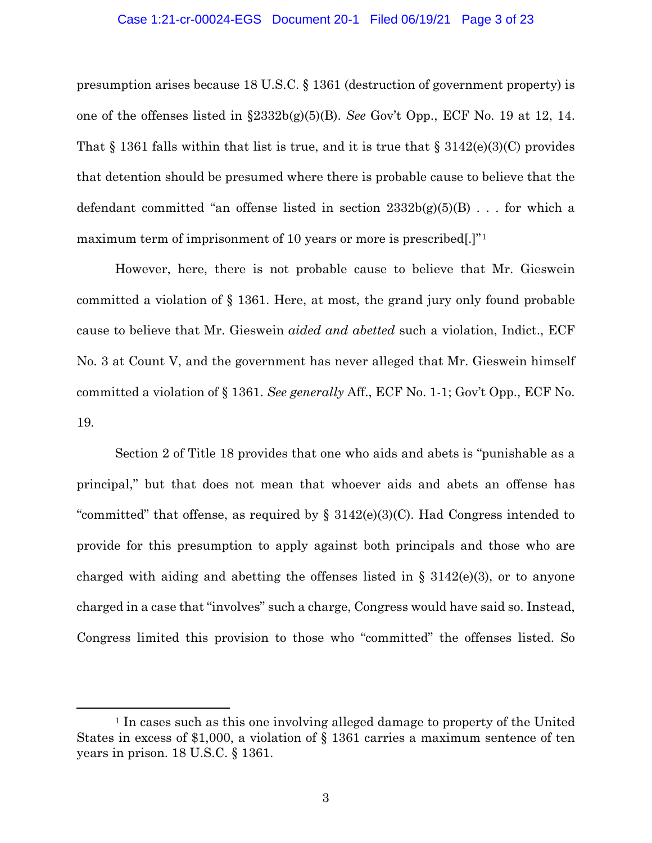#### Case 1:21-cr-00024-EGS Document 20-1 Filed 06/19/21 Page 3 of 23

presumption arises because 18 U.S.C. § 1361 (destruction of government property) is one of the offenses listed in §2332b(g)(5)(B). *See* Gov't Opp., ECF No. 19 at 12, 14. That  $\S 1361$  falls within that list is true, and it is true that  $\S 3142(e)(3)(C)$  provides that detention should be presumed where there is probable cause to believe that the defendant committed "an offense listed in section  $2332b(g)(5)(B)$ ... for which a maximum term of imprisonment of 10 years or more is prescribed.]<sup>"1</sup>

However, here, there is not probable cause to believe that Mr. Gieswein committed a violation of § 1361. Here, at most, the grand jury only found probable cause to believe that Mr. Gieswein *aided and abetted* such a violation, Indict., ECF No. 3 at Count V, and the government has never alleged that Mr. Gieswein himself committed a violation of § 1361. *See generally* Aff., ECF No. 1-1; Gov't Opp., ECF No. 19*.*

Section 2 of Title 18 provides that one who aids and abets is "punishable as a principal," but that does not mean that whoever aids and abets an offense has "committed" that offense, as required by  $\S 3142(e)(3)(C)$ . Had Congress intended to provide for this presumption to apply against both principals and those who are charged with aiding and abetting the offenses listed in  $\S$  3142(e)(3), or to anyone charged in a case that "involves" such a charge, Congress would have said so. Instead, Congress limited this provision to those who "committed" the offenses listed. So

<sup>1</sup> In cases such as this one involving alleged damage to property of the United States in excess of \$1,000, a violation of § 1361 carries a maximum sentence of ten years in prison. 18 U.S.C. § 1361.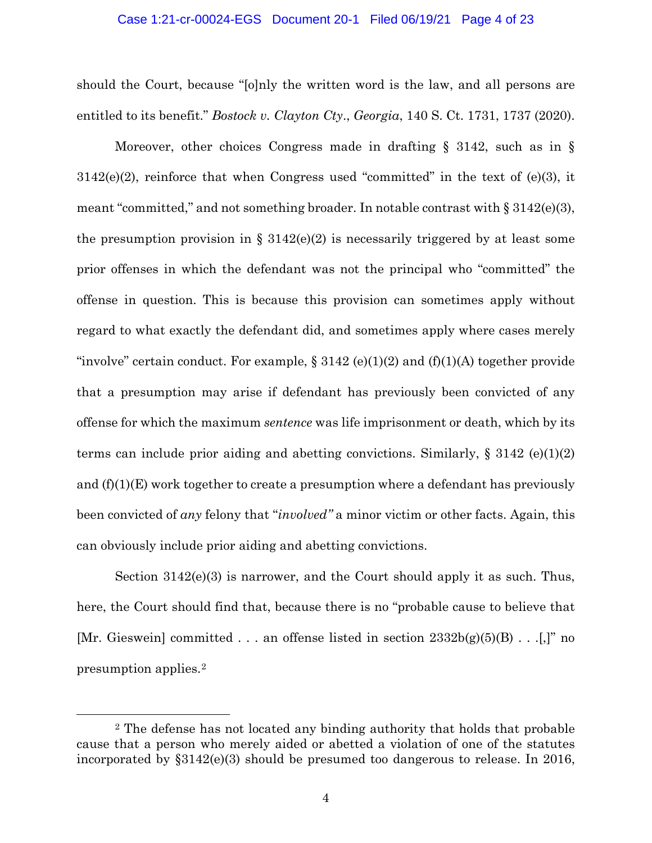## Case 1:21-cr-00024-EGS Document 20-1 Filed 06/19/21 Page 4 of 23

should the Court, because "[o]nly the written word is the law, and all persons are entitled to its benefit." *Bostock v. Clayton Cty*., *Georgia*, 140 S. Ct. 1731, 1737 (2020).

Moreover, other choices Congress made in drafting § 3142, such as in §  $3142(e)(2)$ , reinforce that when Congress used "committed" in the text of  $(e)(3)$ , it meant "committed," and not something broader. In notable contrast with  $\S 3142(e)(3)$ , the presumption provision in §  $3142(e)(2)$  is necessarily triggered by at least some prior offenses in which the defendant was not the principal who "committed" the offense in question. This is because this provision can sometimes apply without regard to what exactly the defendant did, and sometimes apply where cases merely "involve" certain conduct. For example,  $\S 3142$  (e)(1)(2) and (f)(1)(A) together provide that a presumption may arise if defendant has previously been convicted of any offense for which the maximum *sentence* was life imprisonment or death, which by its terms can include prior aiding and abetting convictions. Similarly,  $\S 3142$  (e)(1)(2) and  $(f)(1)(E)$  work together to create a presumption where a defendant has previously been convicted of *any* felony that "*involved"* a minor victim or other facts. Again, this can obviously include prior aiding and abetting convictions.

Section 3142(e)(3) is narrower, and the Court should apply it as such. Thus, here, the Court should find that, because there is no "probable cause to believe that [Mr. Gieswein] committed . . . an offense listed in section 2332b(g)(5)(B) . . .[,]" no presumption applies.2

<sup>2</sup> The defense has not located any binding authority that holds that probable cause that a person who merely aided or abetted a violation of one of the statutes incorporated by §3142(e)(3) should be presumed too dangerous to release. In 2016,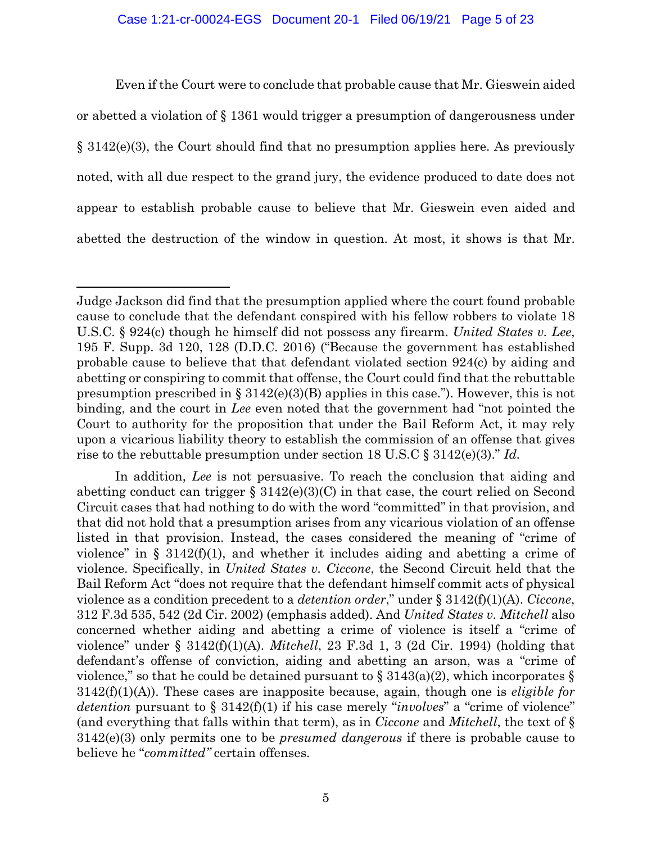## Case 1:21-cr-00024-EGS Document 20-1 Filed 06/19/21 Page 5 of 23

Even if the Court were to conclude that probable cause that Mr. Gieswein aided or abetted a violation of § 1361 would trigger a presumption of dangerousness under § 3142(e)(3), the Court should find that no presumption applies here. As previously noted, with all due respect to the grand jury, the evidence produced to date does not appear to establish probable cause to believe that Mr. Gieswein even aided and abetted the destruction of the window in question. At most, it shows is that Mr.

In addition, *Lee* is not persuasive. To reach the conclusion that aiding and abetting conduct can trigger  $\S 3142(e)(3)(C)$  in that case, the court relied on Second Circuit cases that had nothing to do with the word "committed" in that provision, and that did not hold that a presumption arises from any vicarious violation of an offense listed in that provision. Instead, the cases considered the meaning of "crime of violence" in §  $3142(f)(1)$ , and whether it includes aiding and abetting a crime of violence. Specifically, in *United States v. Ciccone*, the Second Circuit held that the Bail Reform Act "does not require that the defendant himself commit acts of physical violence as a condition precedent to a *detention order*," under § 3142(f)(1)(A). *Ciccone*, 312 F.3d 535, 542 (2d Cir. 2002) (emphasis added). And *United States v. Mitchell* also concerned whether aiding and abetting a crime of violence is itself a "crime of violence" under § 3142(f)(1)(A). *Mitchell*, 23 F.3d 1, 3 (2d Cir. 1994) (holding that defendant's offense of conviction, aiding and abetting an arson, was a "crime of violence," so that he could be detained pursuant to  $\S 3143(a)(2)$ , which incorporates  $\S$ 3142(f)(1)(A)). These cases are inapposite because, again, though one is *eligible for detention* pursuant to § 3142(f)(1) if his case merely "*involves*" a "crime of violence" (and everything that falls within that term), as in *Ciccone* and *Mitchell*, the text of § 3142(e)(3) only permits one to be *presumed dangerous* if there is probable cause to believe he "*committed"* certain offenses.

Judge Jackson did find that the presumption applied where the court found probable cause to conclude that the defendant conspired with his fellow robbers to violate 18 U.S.C. § 924(c) though he himself did not possess any firearm. *United States v. Lee*, 195 F. Supp. 3d 120, 128 (D.D.C. 2016) ("Because the government has established probable cause to believe that that defendant violated section 924(c) by aiding and abetting or conspiring to commit that offense, the Court could find that the rebuttable presumption prescribed in  $\S 3142(e)(3)(B)$  applies in this case."). However, this is not binding, and the court in *Lee* even noted that the government had "not pointed the Court to authority for the proposition that under the Bail Reform Act, it may rely upon a vicarious liability theory to establish the commission of an offense that gives rise to the rebuttable presumption under section 18 U.S.C § 3142(e)(3)." *Id.*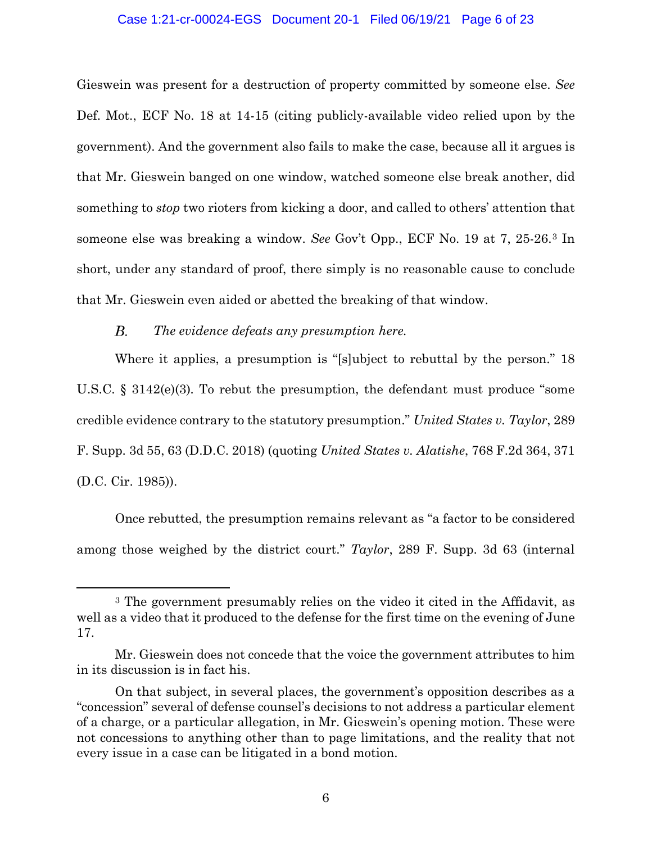## Case 1:21-cr-00024-EGS Document 20-1 Filed 06/19/21 Page 6 of 23

Gieswein was present for a destruction of property committed by someone else. *See*  Def. Mot., ECF No. 18 at 14-15 (citing publicly-available video relied upon by the government). And the government also fails to make the case, because all it argues is that Mr. Gieswein banged on one window, watched someone else break another, did something to *stop* two rioters from kicking a door, and called to others' attention that someone else was breaking a window. *See* Gov't Opp., ECF No. 19 at 7, 25-26.3 In short, under any standard of proof, there simply is no reasonable cause to conclude that Mr. Gieswein even aided or abetted the breaking of that window.

#### $B<sub>1</sub>$ *The evidence defeats any presumption here.*

Where it applies, a presumption is "[s]ubject to rebuttal by the person." 18 U.S.C. § 3142(e)(3)*.* To rebut the presumption, the defendant must produce "some credible evidence contrary to the statutory presumption." *United States v. Taylor*, 289 F. Supp. 3d 55, 63 (D.D.C. 2018) (quoting *United States v. Alatishe*, 768 F.2d 364, 371 (D.C. Cir. 1985)).

Once rebutted, the presumption remains relevant as "a factor to be considered among those weighed by the district court." *Taylor*, 289 F. Supp. 3d 63 (internal

<sup>3</sup> The government presumably relies on the video it cited in the Affidavit, as well as a video that it produced to the defense for the first time on the evening of June 17.

Mr. Gieswein does not concede that the voice the government attributes to him in its discussion is in fact his.

On that subject, in several places, the government's opposition describes as a "concession" several of defense counsel's decisions to not address a particular element of a charge, or a particular allegation, in Mr. Gieswein's opening motion. These were not concessions to anything other than to page limitations, and the reality that not every issue in a case can be litigated in a bond motion.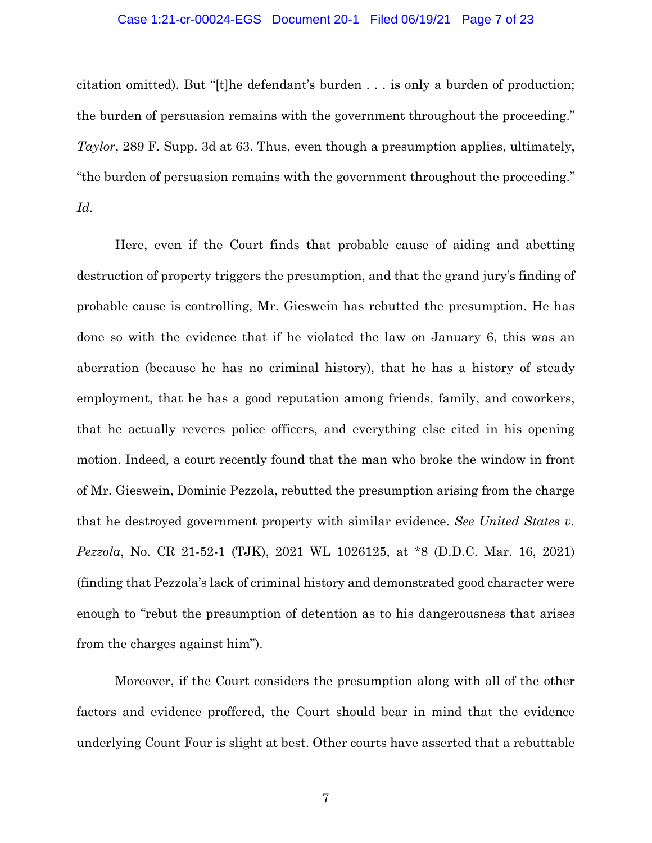## Case 1:21-cr-00024-EGS Document 20-1 Filed 06/19/21 Page 7 of 23

citation omitted). But "[t]he defendant's burden . . . is only a burden of production; the burden of persuasion remains with the government throughout the proceeding." *Taylor*, 289 F. Supp. 3d at 63. Thus, even though a presumption applies, ultimately, "the burden of persuasion remains with the government throughout the proceeding." *Id.*

Here, even if the Court finds that probable cause of aiding and abetting destruction of property triggers the presumption, and that the grand jury's finding of probable cause is controlling, Mr. Gieswein has rebutted the presumption. He has done so with the evidence that if he violated the law on January 6, this was an aberration (because he has no criminal history), that he has a history of steady employment, that he has a good reputation among friends, family, and coworkers, that he actually reveres police officers, and everything else cited in his opening motion. Indeed, a court recently found that the man who broke the window in front of Mr. Gieswein, Dominic Pezzola, rebutted the presumption arising from the charge that he destroyed government property with similar evidence. *See United States v. Pezzola*, No. CR 21-52-1 (TJK), 2021 WL 1026125, at \*8 (D.D.C. Mar. 16, 2021) (finding that Pezzola's lack of criminal history and demonstrated good character were enough to "rebut the presumption of detention as to his dangerousness that arises from the charges against him").

Moreover, if the Court considers the presumption along with all of the other factors and evidence proffered, the Court should bear in mind that the evidence underlying Count Four is slight at best. Other courts have asserted that a rebuttable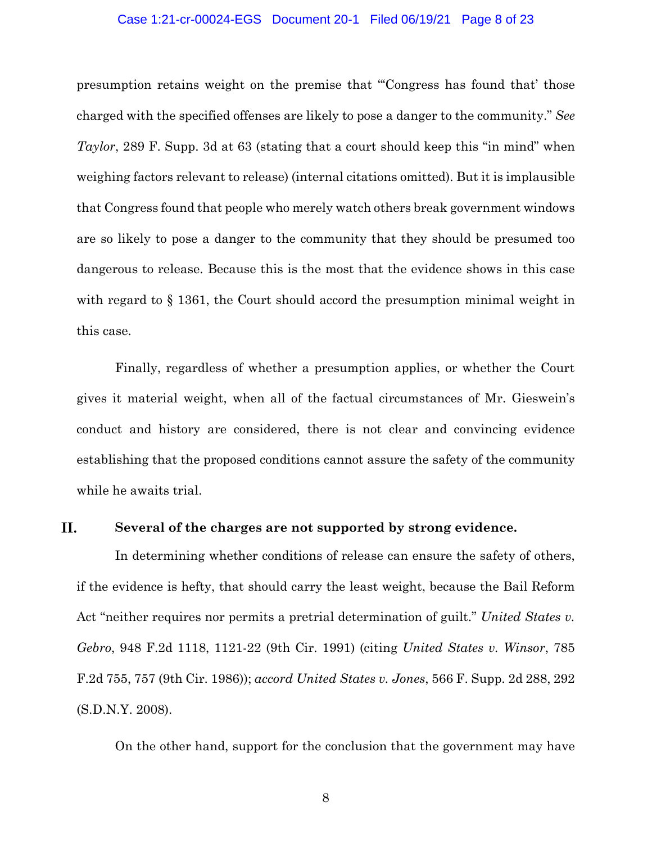## Case 1:21-cr-00024-EGS Document 20-1 Filed 06/19/21 Page 8 of 23

presumption retains weight on the premise that "'Congress has found that' those charged with the specified offenses are likely to pose a danger to the community." *See Taylor*, 289 F. Supp. 3d at 63 (stating that a court should keep this "in mind" when weighing factors relevant to release) (internal citations omitted). But it is implausible that Congress found that people who merely watch others break government windows are so likely to pose a danger to the community that they should be presumed too dangerous to release. Because this is the most that the evidence shows in this case with regard to § 1361, the Court should accord the presumption minimal weight in this case.

Finally, regardless of whether a presumption applies, or whether the Court gives it material weight, when all of the factual circumstances of Mr. Gieswein's conduct and history are considered, there is not clear and convincing evidence establishing that the proposed conditions cannot assure the safety of the community while he awaits trial.

#### II. **Several of the charges are not supported by strong evidence.**

In determining whether conditions of release can ensure the safety of others, if the evidence is hefty, that should carry the least weight, because the Bail Reform Act "neither requires nor permits a pretrial determination of guilt." *United States v. Gebro*, 948 F.2d 1118, 1121-22 (9th Cir. 1991) (citing *United States v. Winsor*, 785 F.2d 755, 757 (9th Cir. 1986)); *accord United States v. Jones*, 566 F. Supp. 2d 288, 292 (S.D.N.Y. 2008).

On the other hand, support for the conclusion that the government may have

8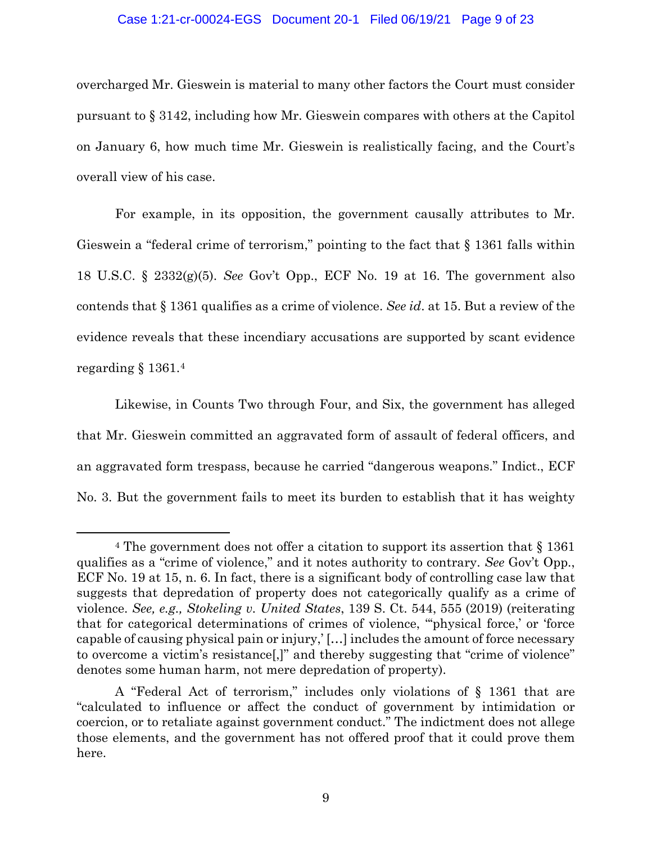## Case 1:21-cr-00024-EGS Document 20-1 Filed 06/19/21 Page 9 of 23

overcharged Mr. Gieswein is material to many other factors the Court must consider pursuant to § 3142, including how Mr. Gieswein compares with others at the Capitol on January 6, how much time Mr. Gieswein is realistically facing, and the Court's overall view of his case.

For example, in its opposition, the government causally attributes to Mr. Gieswein a "federal crime of terrorism," pointing to the fact that § 1361 falls within 18 U.S.C. § 2332(g)(5). *See* Gov't Opp., ECF No. 19 at 16. The government also contends that § 1361 qualifies as a crime of violence. *See id*. at 15. But a review of the evidence reveals that these incendiary accusations are supported by scant evidence regarding § 1361.4

Likewise, in Counts Two through Four, and Six, the government has alleged that Mr. Gieswein committed an aggravated form of assault of federal officers, and an aggravated form trespass, because he carried "dangerous weapons." Indict., ECF No. 3. But the government fails to meet its burden to establish that it has weighty

<sup>4</sup> The government does not offer a citation to support its assertion that § 1361 qualifies as a "crime of violence," and it notes authority to contrary. *See* Gov't Opp., ECF No. 19 at 15, n. 6. In fact, there is a significant body of controlling case law that suggests that depredation of property does not categorically qualify as a crime of violence. *See, e.g., Stokeling v. United States*, 139 S. Ct. 544, 555 (2019) (reiterating that for categorical determinations of crimes of violence, "'physical force,' or 'force capable of causing physical pain or injury,' […] includes the amount of force necessary to overcome a victim's resistance[,]" and thereby suggesting that "crime of violence" denotes some human harm, not mere depredation of property).

A "Federal Act of terrorism," includes only violations of § 1361 that are "calculated to influence or affect the conduct of government by intimidation or coercion, or to retaliate against government conduct." The indictment does not allege those elements, and the government has not offered proof that it could prove them here.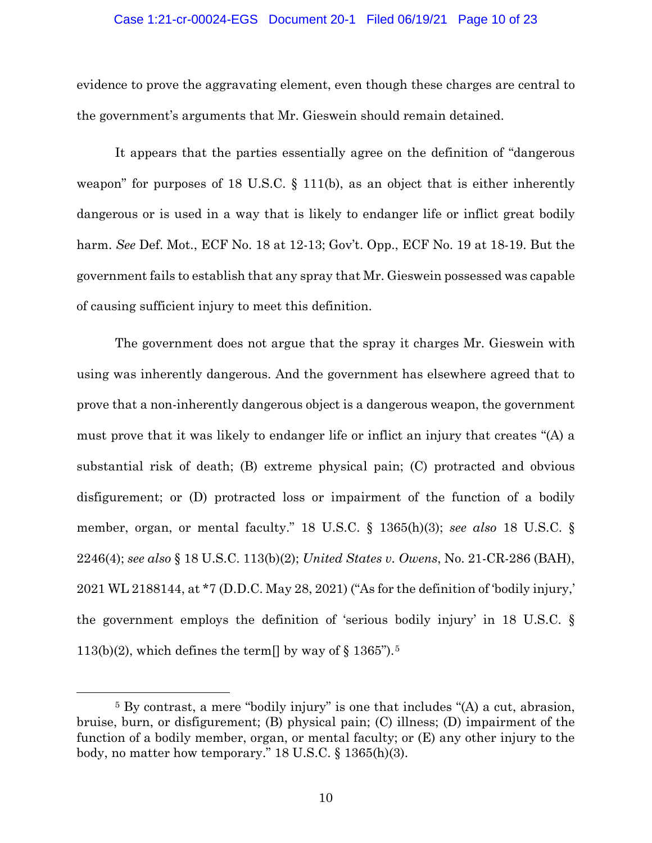### Case 1:21-cr-00024-EGS Document 20-1 Filed 06/19/21 Page 10 of 23

evidence to prove the aggravating element, even though these charges are central to the government's arguments that Mr. Gieswein should remain detained.

It appears that the parties essentially agree on the definition of "dangerous weapon" for purposes of 18 U.S.C. § 111(b), as an object that is either inherently dangerous or is used in a way that is likely to endanger life or inflict great bodily harm. *See* Def. Mot., ECF No. 18 at 12-13; Gov't. Opp., ECF No. 19 at 18-19. But the government fails to establish that any spray that Mr. Gieswein possessed was capable of causing sufficient injury to meet this definition.

The government does not argue that the spray it charges Mr. Gieswein with using was inherently dangerous. And the government has elsewhere agreed that to prove that a non-inherently dangerous object is a dangerous weapon, the government must prove that it was likely to endanger life or inflict an injury that creates "(A) a substantial risk of death; (B) extreme physical pain; (C) protracted and obvious disfigurement; or (D) protracted loss or impairment of the function of a bodily member, organ, or mental faculty." 18 U.S.C. § 1365(h)(3); *see also* 18 U.S.C. § 2246(4); *see also* § 18 U.S.C. 113(b)(2); *United States v. Owens*, No. 21-CR-286 (BAH), 2021 WL 2188144, at \*7 (D.D.C. May 28, 2021) ("As for the definition of 'bodily injury,' the government employs the definition of 'serious bodily injury' in 18 U.S.C. § 113(b)(2), which defines the term  $\vert \vert$  by way of § 1365").<sup>5</sup>

<sup>5</sup> By contrast, a mere "bodily injury" is one that includes "(A) a cut, abrasion, bruise, burn, or disfigurement; (B) physical pain; (C) illness; (D) impairment of the function of a bodily member, organ, or mental faculty; or (E) any other injury to the body, no matter how temporary." 18 U.S.C. § 1365(h)(3).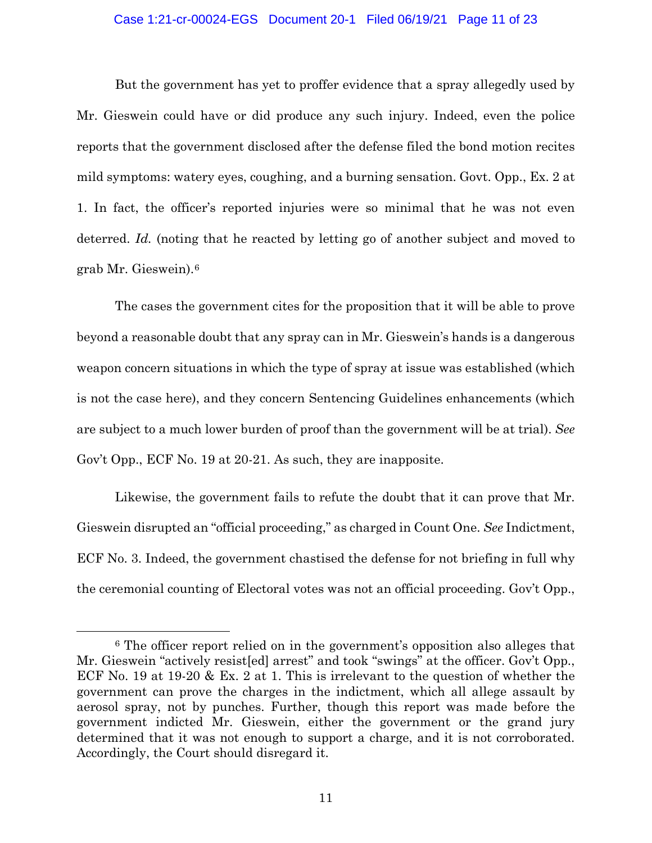## Case 1:21-cr-00024-EGS Document 20-1 Filed 06/19/21 Page 11 of 23

But the government has yet to proffer evidence that a spray allegedly used by Mr. Gieswein could have or did produce any such injury. Indeed, even the police reports that the government disclosed after the defense filed the bond motion recites mild symptoms: watery eyes, coughing, and a burning sensation. Govt. Opp., Ex. 2 at 1. In fact, the officer's reported injuries were so minimal that he was not even deterred. *Id.* (noting that he reacted by letting go of another subject and moved to grab Mr. Gieswein).6

The cases the government cites for the proposition that it will be able to prove beyond a reasonable doubt that any spray can in Mr. Gieswein's hands is a dangerous weapon concern situations in which the type of spray at issue was established (which is not the case here), and they concern Sentencing Guidelines enhancements (which are subject to a much lower burden of proof than the government will be at trial). *See*  Gov't Opp., ECF No. 19 at 20-21. As such, they are inapposite.

Likewise, the government fails to refute the doubt that it can prove that Mr. Gieswein disrupted an "official proceeding," as charged in Count One. *See* Indictment, ECF No. 3. Indeed, the government chastised the defense for not briefing in full why the ceremonial counting of Electoral votes was not an official proceeding. Gov't Opp.,

<sup>6</sup> The officer report relied on in the government's opposition also alleges that Mr. Gieswein "actively resist[ed] arrest" and took "swings" at the officer. Gov't Opp., ECF No. 19 at 19-20 & Ex. 2 at 1. This is irrelevant to the question of whether the government can prove the charges in the indictment, which all allege assault by aerosol spray, not by punches. Further, though this report was made before the government indicted Mr. Gieswein, either the government or the grand jury determined that it was not enough to support a charge, and it is not corroborated. Accordingly, the Court should disregard it.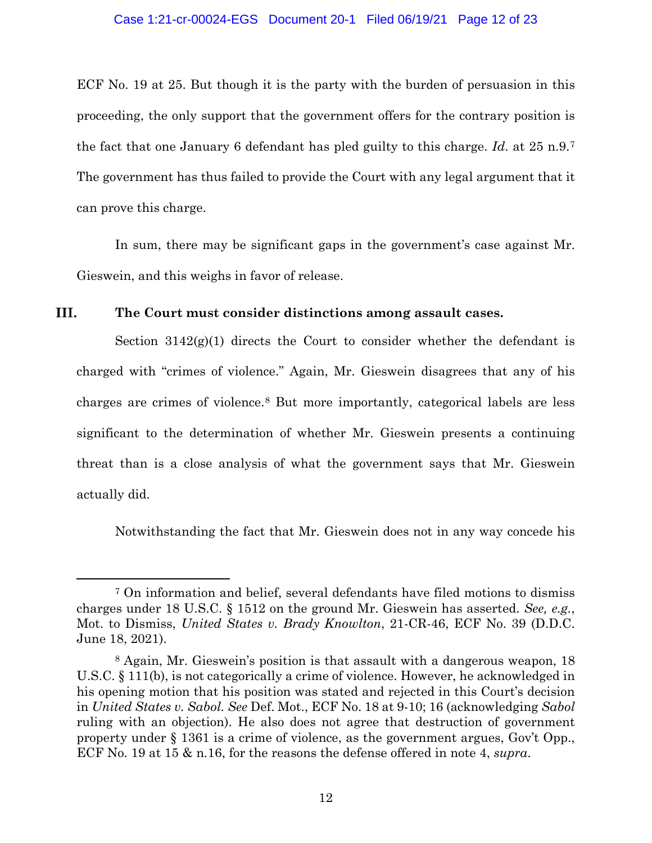ECF No. 19 at 25. But though it is the party with the burden of persuasion in this proceeding, the only support that the government offers for the contrary position is the fact that one January 6 defendant has pled guilty to this charge. *Id*. at 25 n.9.7 The government has thus failed to provide the Court with any legal argument that it can prove this charge.

In sum, there may be significant gaps in the government's case against Mr. Gieswein, and this weighs in favor of release.

#### III. **The Court must consider distinctions among assault cases.**

Section  $3142(g)(1)$  directs the Court to consider whether the defendant is charged with "crimes of violence." Again, Mr. Gieswein disagrees that any of his charges are crimes of violence.8 But more importantly, categorical labels are less significant to the determination of whether Mr. Gieswein presents a continuing threat than is a close analysis of what the government says that Mr. Gieswein actually did.

Notwithstanding the fact that Mr. Gieswein does not in any way concede his

<sup>7</sup> On information and belief, several defendants have filed motions to dismiss charges under 18 U.S.C. § 1512 on the ground Mr. Gieswein has asserted. *See, e.g.*, Mot. to Dismiss, *United States v. Brady Knowlton*, 21-CR-46, ECF No. 39 (D.D.C. June 18, 2021).

<sup>8</sup> Again, Mr. Gieswein's position is that assault with a dangerous weapon, 18 U.S.C. § 111(b), is not categorically a crime of violence. However, he acknowledged in his opening motion that his position was stated and rejected in this Court's decision in *United States v. Sabol. See* Def. Mot., ECF No. 18 at 9-10; 16 (acknowledging *Sabol* ruling with an objection). He also does not agree that destruction of government property under § 1361 is a crime of violence, as the government argues, Gov't Opp., ECF No. 19 at 15 & n.16, for the reasons the defense offered in note 4, *supra*.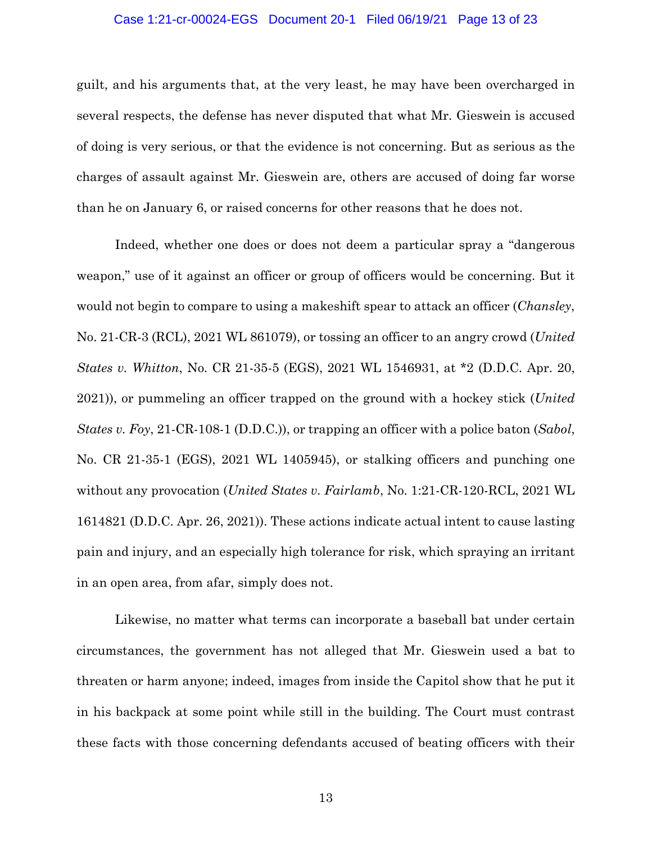### Case 1:21-cr-00024-EGS Document 20-1 Filed 06/19/21 Page 13 of 23

guilt, and his arguments that, at the very least, he may have been overcharged in several respects, the defense has never disputed that what Mr. Gieswein is accused of doing is very serious, or that the evidence is not concerning. But as serious as the charges of assault against Mr. Gieswein are, others are accused of doing far worse than he on January 6, or raised concerns for other reasons that he does not.

Indeed, whether one does or does not deem a particular spray a "dangerous weapon," use of it against an officer or group of officers would be concerning. But it would not begin to compare to using a makeshift spear to attack an officer (*Chansley*, No. 21-CR-3 (RCL), 2021 WL 861079), or tossing an officer to an angry crowd (*United States v. Whitton*, No. CR 21-35-5 (EGS), 2021 WL 1546931, at \*2 (D.D.C. Apr. 20, 2021)), or pummeling an officer trapped on the ground with a hockey stick (*United States v. Foy*, 21-CR-108-1 (D.D.C.)), or trapping an officer with a police baton (*Sabol*, No. CR 21-35-1 (EGS), 2021 WL 1405945), or stalking officers and punching one without any provocation (*United States v. Fairlamb*, No. 1:21-CR-120-RCL, 2021 WL 1614821 (D.D.C. Apr. 26, 2021)). These actions indicate actual intent to cause lasting pain and injury, and an especially high tolerance for risk, which spraying an irritant in an open area, from afar, simply does not.

Likewise, no matter what terms can incorporate a baseball bat under certain circumstances, the government has not alleged that Mr. Gieswein used a bat to threaten or harm anyone; indeed, images from inside the Capitol show that he put it in his backpack at some point while still in the building. The Court must contrast these facts with those concerning defendants accused of beating officers with their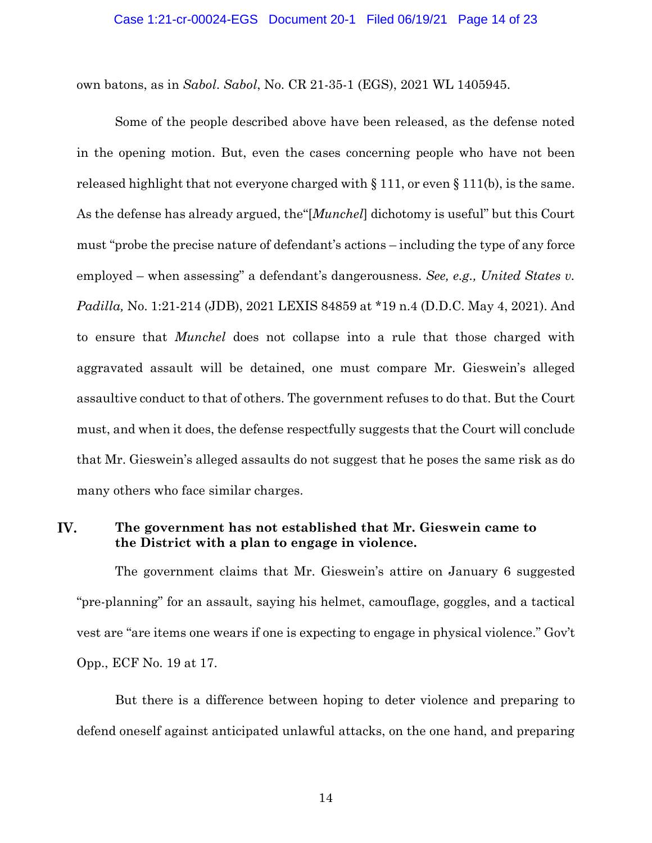own batons, as in *Sabol*. *Sabol*, No. CR 21-35-1 (EGS), 2021 WL 1405945.

Some of the people described above have been released, as the defense noted in the opening motion. But, even the cases concerning people who have not been released highlight that not everyone charged with § 111, or even § 111(b), is the same. As the defense has already argued, the"[*Munchel*] dichotomy is useful" but this Court must "probe the precise nature of defendant's actions – including the type of any force employed – when assessing" a defendant's dangerousness. *See, e.g., United States v. Padilla,* No. 1:21-214 (JDB), 2021 LEXIS 84859 at \*19 n.4 (D.D.C. May 4, 2021). And to ensure that *Munchel* does not collapse into a rule that those charged with aggravated assault will be detained, one must compare Mr. Gieswein's alleged assaultive conduct to that of others. The government refuses to do that. But the Court must, and when it does, the defense respectfully suggests that the Court will conclude that Mr. Gieswein's alleged assaults do not suggest that he poses the same risk as do many others who face similar charges.

#### IV. **The government has not established that Mr. Gieswein came to the District with a plan to engage in violence.**

The government claims that Mr. Gieswein's attire on January 6 suggested "pre-planning" for an assault, saying his helmet, camouflage, goggles, and a tactical vest are "are items one wears if one is expecting to engage in physical violence." Gov't Opp., ECF No. 19 at 17.

But there is a difference between hoping to deter violence and preparing to defend oneself against anticipated unlawful attacks, on the one hand, and preparing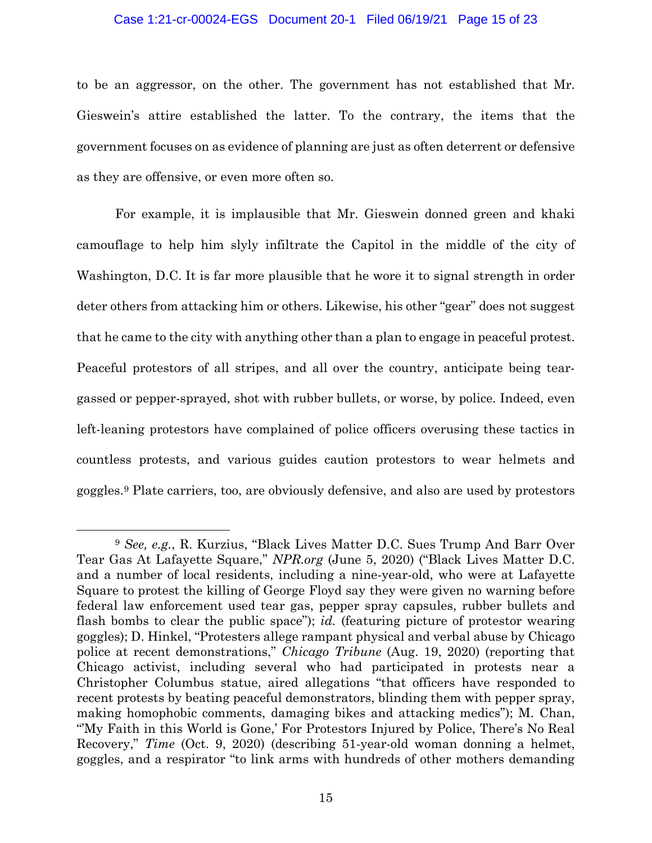#### Case 1:21-cr-00024-EGS Document 20-1 Filed 06/19/21 Page 15 of 23

to be an aggressor, on the other. The government has not established that Mr. Gieswein's attire established the latter. To the contrary, the items that the government focuses on as evidence of planning are just as often deterrent or defensive as they are offensive, or even more often so.

For example, it is implausible that Mr. Gieswein donned green and khaki camouflage to help him slyly infiltrate the Capitol in the middle of the city of Washington, D.C. It is far more plausible that he wore it to signal strength in order deter others from attacking him or others. Likewise, his other "gear" does not suggest that he came to the city with anything other than a plan to engage in peaceful protest. Peaceful protestors of all stripes, and all over the country, anticipate being teargassed or pepper-sprayed, shot with rubber bullets, or worse, by police*.* Indeed, even left-leaning protestors have complained of police officers overusing these tactics in countless protests, and various guides caution protestors to wear helmets and goggles.9 Plate carriers, too, are obviously defensive, and also are used by protestors

<sup>9</sup> *See, e.g.*, R. Kurzius, "Black Lives Matter D.C. Sues Trump And Barr Over Tear Gas At Lafayette Square," *NPR.org* (June 5, 2020) ("Black Lives Matter D.C. and a number of local residents, including a nine-year-old, who were at Lafayette Square to protest the killing of George Floyd say they were given no warning before federal law enforcement used tear gas, pepper spray capsules, rubber bullets and flash bombs to clear the public space"); *id.* (featuring picture of protestor wearing goggles); D. Hinkel, "Protesters allege rampant physical and verbal abuse by Chicago police at recent demonstrations," *Chicago Tribune* (Aug. 19, 2020) (reporting that Chicago activist, including several who had participated in protests near a Christopher Columbus statue, aired allegations "that officers have responded to recent protests by beating peaceful demonstrators, blinding them with pepper spray, making homophobic comments, damaging bikes and attacking medics"); M. Chan, "'My Faith in this World is Gone,' For Protestors Injured by Police, There's No Real Recovery," *Time* (Oct. 9, 2020) (describing 51-year-old woman donning a helmet, goggles, and a respirator "to link arms with hundreds of other mothers demanding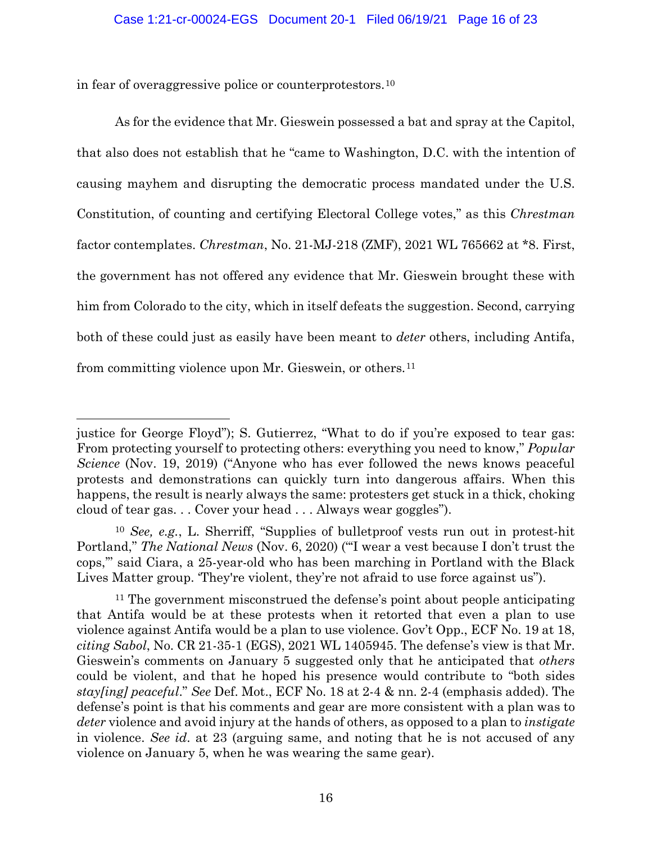in fear of overaggressive police or counterprotestors.10

As for the evidence that Mr. Gieswein possessed a bat and spray at the Capitol, that also does not establish that he "came to Washington, D.C. with the intention of causing mayhem and disrupting the democratic process mandated under the U.S. Constitution, of counting and certifying Electoral College votes," as this *Chrestman*  factor contemplates. *Chrestman*, No. 21-MJ-218 (ZMF), 2021 WL 765662 at \*8. First, the government has not offered any evidence that Mr. Gieswein brought these with him from Colorado to the city, which in itself defeats the suggestion. Second, carrying both of these could just as easily have been meant to *deter* others, including Antifa, from committing violence upon Mr. Gieswein, or others.11

justice for George Floyd"); S. Gutierrez, "What to do if you're exposed to tear gas: From protecting yourself to protecting others: everything you need to know," *Popular Science* (Nov. 19, 2019) ("Anyone who has ever followed the news knows peaceful protests and demonstrations can quickly turn into dangerous affairs. When this happens, the result is nearly always the same: protesters get stuck in a thick, choking cloud of tear gas. . . Cover your head . . . Always wear goggles").

<sup>10</sup> *See, e.g.*, L. Sherriff, "Supplies of bulletproof vests run out in protest-hit Portland," *The National News* (Nov. 6, 2020) ("'I wear a vest because I don't trust the cops,'" said Ciara, a 25-year-old who has been marching in Portland with the Black Lives Matter group. 'They're violent, they're not afraid to use force against us").

<sup>&</sup>lt;sup>11</sup> The government misconstrued the defense's point about people anticipating that Antifa would be at these protests when it retorted that even a plan to use violence against Antifa would be a plan to use violence. Gov't Opp., ECF No. 19 at 18, *citing Sabol*, No. CR 21-35-1 (EGS), 2021 WL 1405945. The defense's view is that Mr. Gieswein's comments on January 5 suggested only that he anticipated that *others*  could be violent, and that he hoped his presence would contribute to "both sides *stay[ing] peaceful*." *See* Def. Mot., ECF No. 18 at 2-4 & nn. 2-4 (emphasis added). The defense's point is that his comments and gear are more consistent with a plan was to *deter* violence and avoid injury at the hands of others, as opposed to a plan to *instigate* in violence. *See id*. at 23 (arguing same, and noting that he is not accused of any violence on January 5, when he was wearing the same gear).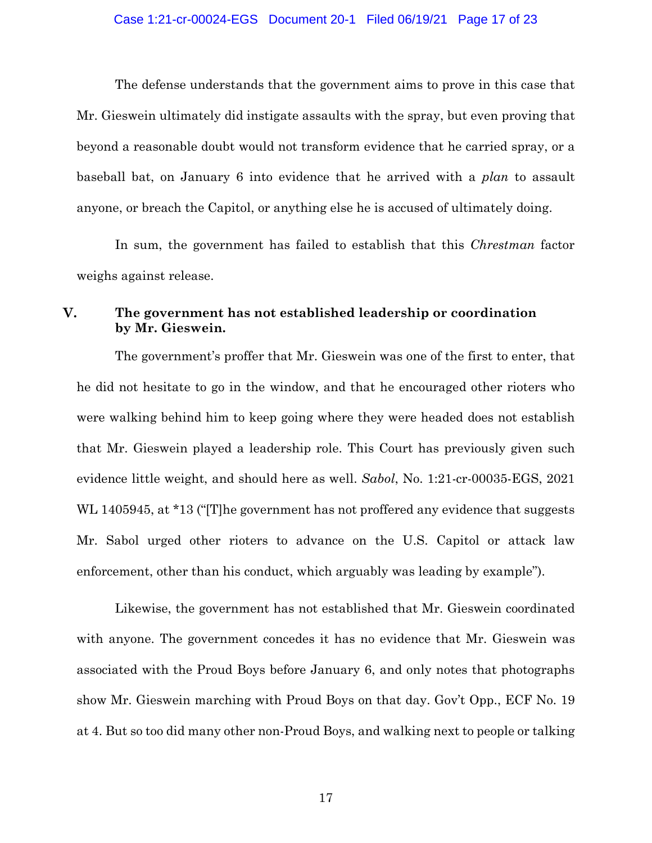#### Case 1:21-cr-00024-EGS Document 20-1 Filed 06/19/21 Page 17 of 23

The defense understands that the government aims to prove in this case that Mr. Gieswein ultimately did instigate assaults with the spray, but even proving that beyond a reasonable doubt would not transform evidence that he carried spray, or a baseball bat, on January 6 into evidence that he arrived with a *plan* to assault anyone, or breach the Capitol, or anything else he is accused of ultimately doing.

In sum, the government has failed to establish that this *Chrestman* factor weighs against release.

#### V. **The government has not established leadership or coordination by Mr. Gieswein.**

The government's proffer that Mr. Gieswein was one of the first to enter, that he did not hesitate to go in the window, and that he encouraged other rioters who were walking behind him to keep going where they were headed does not establish that Mr. Gieswein played a leadership role. This Court has previously given such evidence little weight, and should here as well. *Sabol*, No. 1:21-cr-00035-EGS, 2021 WL 1405945, at \*13 ("The government has not proffered any evidence that suggests Mr. Sabol urged other rioters to advance on the U.S. Capitol or attack law enforcement, other than his conduct, which arguably was leading by example").

Likewise, the government has not established that Mr. Gieswein coordinated with anyone. The government concedes it has no evidence that Mr. Gieswein was associated with the Proud Boys before January 6, and only notes that photographs show Mr. Gieswein marching with Proud Boys on that day. Gov't Opp., ECF No. 19 at 4. But so too did many other non-Proud Boys, and walking next to people or talking

17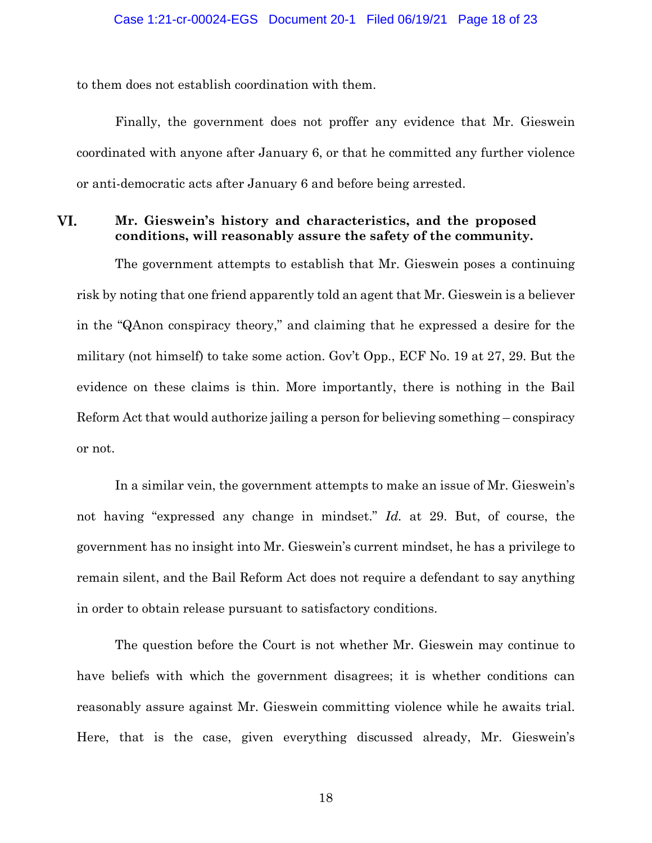to them does not establish coordination with them.

Finally, the government does not proffer any evidence that Mr. Gieswein coordinated with anyone after January 6, or that he committed any further violence or anti-democratic acts after January 6 and before being arrested.

#### VI. **Mr. Gieswein's history and characteristics, and the proposed conditions, will reasonably assure the safety of the community.**

The government attempts to establish that Mr. Gieswein poses a continuing risk by noting that one friend apparently told an agent that Mr. Gieswein is a believer in the "QAnon conspiracy theory," and claiming that he expressed a desire for the military (not himself) to take some action. Gov't Opp., ECF No. 19 at 27, 29. But the evidence on these claims is thin. More importantly, there is nothing in the Bail Reform Act that would authorize jailing a person for believing something – conspiracy or not.

In a similar vein, the government attempts to make an issue of Mr. Gieswein's not having "expressed any change in mindset." *Id.* at 29. But, of course, the government has no insight into Mr. Gieswein's current mindset, he has a privilege to remain silent, and the Bail Reform Act does not require a defendant to say anything in order to obtain release pursuant to satisfactory conditions.

The question before the Court is not whether Mr. Gieswein may continue to have beliefs with which the government disagrees; it is whether conditions can reasonably assure against Mr. Gieswein committing violence while he awaits trial. Here, that is the case, given everything discussed already, Mr. Gieswein's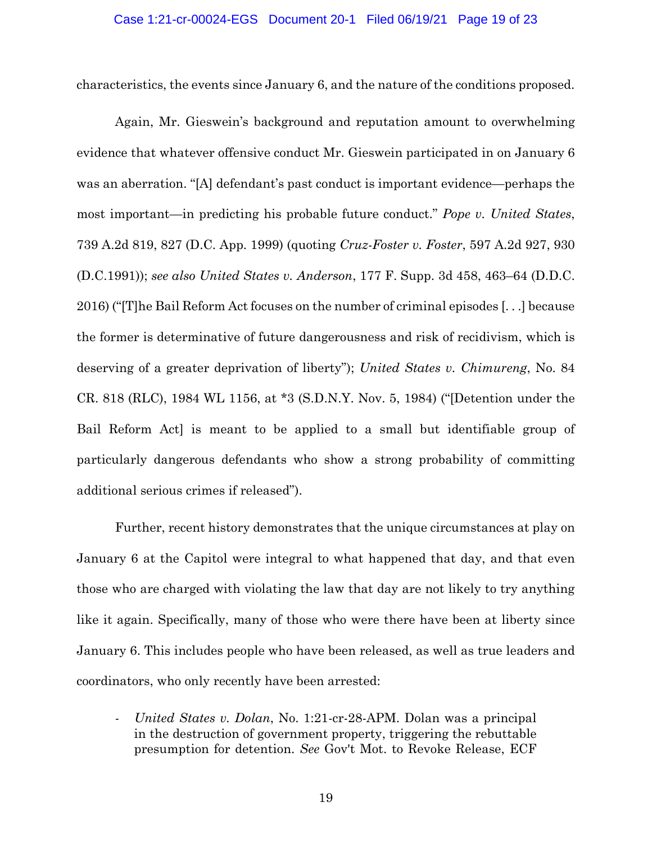characteristics, the events since January 6, and the nature of the conditions proposed.

Again, Mr. Gieswein's background and reputation amount to overwhelming evidence that whatever offensive conduct Mr. Gieswein participated in on January 6 was an aberration. "[A] defendant's past conduct is important evidence—perhaps the most important—in predicting his probable future conduct." *Pope v. United States*, 739 A.2d 819, 827 (D.C. App. 1999) (quoting *Cruz-Foster v. Foster*, 597 A.2d 927, 930 (D.C.1991)); *see also United States v. Anderson*, 177 F. Supp. 3d 458, 463–64 (D.D.C. 2016) ("[T]he Bail Reform Act focuses on the number of criminal episodes [. . .] because the former is determinative of future dangerousness and risk of recidivism, which is deserving of a greater deprivation of liberty"); *United States v. Chimureng*, No. 84 CR. 818 (RLC), 1984 WL 1156, at \*3 (S.D.N.Y. Nov. 5, 1984) ("[Detention under the Bail Reform Act] is meant to be applied to a small but identifiable group of particularly dangerous defendants who show a strong probability of committing additional serious crimes if released").

Further, recent history demonstrates that the unique circumstances at play on January 6 at the Capitol were integral to what happened that day, and that even those who are charged with violating the law that day are not likely to try anything like it again. Specifically, many of those who were there have been at liberty since January 6. This includes people who have been released, as well as true leaders and coordinators, who only recently have been arrested:

*- United States v. Dolan*, No. 1:21-cr-28-APM. Dolan was a principal in the destruction of government property, triggering the rebuttable presumption for detention. *See* Gov't Mot. to Revoke Release, ECF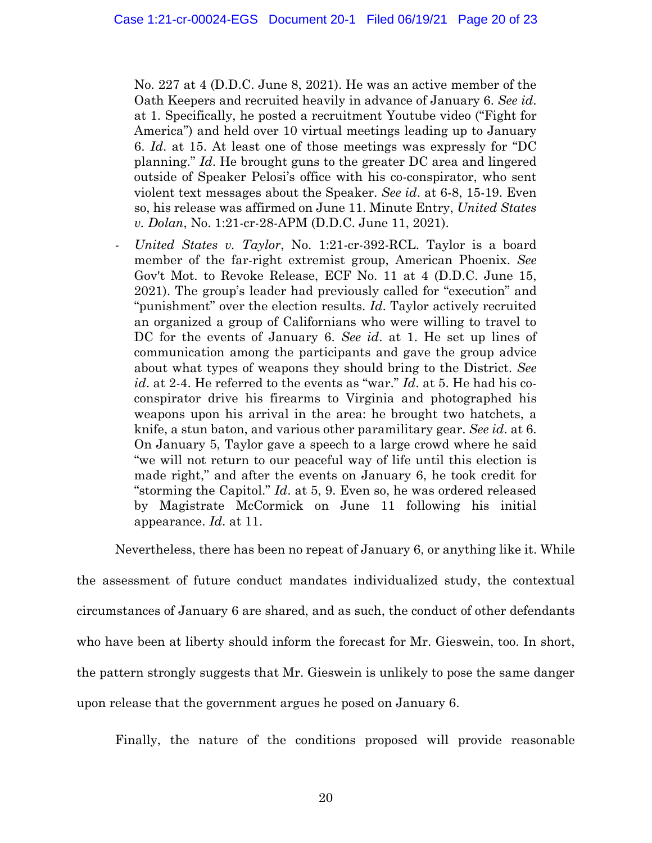No. 227 at 4 (D.D.C. June 8, 2021). He was an active member of the Oath Keepers and recruited heavily in advance of January 6. *See id*. at 1. Specifically, he posted a recruitment Youtube video ("Fight for America") and held over 10 virtual meetings leading up to January 6. *Id*. at 15. At least one of those meetings was expressly for "DC planning." *Id*. He brought guns to the greater DC area and lingered outside of Speaker Pelosi's office with his co-conspirator, who sent violent text messages about the Speaker. *See id*. at 6-8, 15-19. Even so, his release was affirmed on June 11. Minute Entry, *United States v. Dolan*, No. 1:21-cr-28-APM (D.D.C. June 11, 2021).

*United States v. Taylor*, No. 1:21-cr-392-RCL. Taylor is a board member of the far-right extremist group, American Phoenix. *See* Gov't Mot. to Revoke Release, ECF No. 11 at 4 (D.D.C. June 15, 2021). The group's leader had previously called for "execution" and "punishment" over the election results. *Id*. Taylor actively recruited an organized a group of Californians who were willing to travel to DC for the events of January 6. *See id*. at 1. He set up lines of communication among the participants and gave the group advice about what types of weapons they should bring to the District. *See id*. at 2-4. He referred to the events as "war." *Id*. at 5. He had his coconspirator drive his firearms to Virginia and photographed his weapons upon his arrival in the area: he brought two hatchets, a knife, a stun baton, and various other paramilitary gear. *See id*. at 6. On January 5, Taylor gave a speech to a large crowd where he said "we will not return to our peaceful way of life until this election is made right," and after the events on January 6, he took credit for "storming the Capitol." *Id*. at 5, 9. Even so, he was ordered released by Magistrate McCormick on June 11 following his initial appearance. *Id*. at 11.

Nevertheless, there has been no repeat of January 6, or anything like it. While

the assessment of future conduct mandates individualized study, the contextual circumstances of January 6 are shared, and as such, the conduct of other defendants who have been at liberty should inform the forecast for Mr. Gieswein, too. In short, the pattern strongly suggests that Mr. Gieswein is unlikely to pose the same danger upon release that the government argues he posed on January 6.

Finally, the nature of the conditions proposed will provide reasonable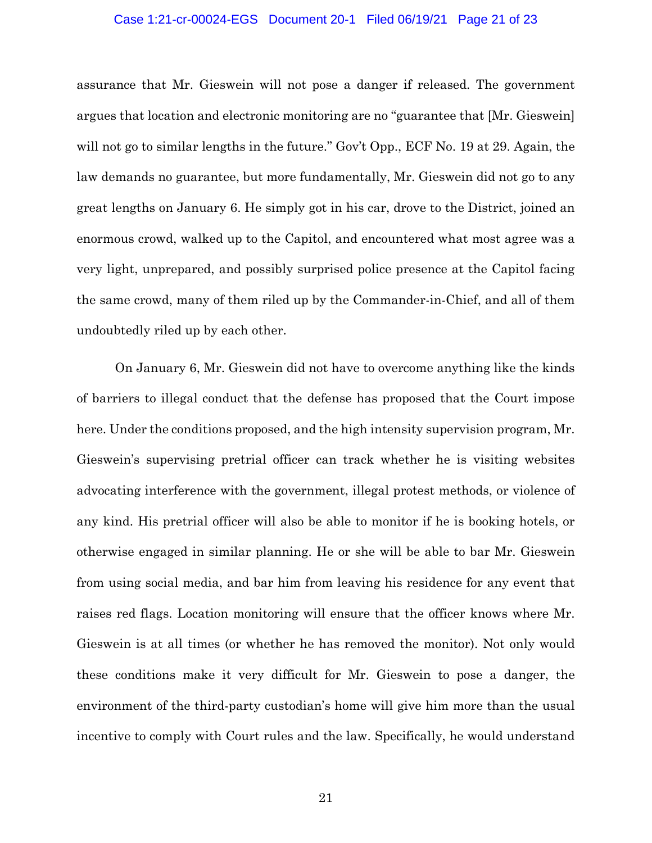#### Case 1:21-cr-00024-EGS Document 20-1 Filed 06/19/21 Page 21 of 23

assurance that Mr. Gieswein will not pose a danger if released. The government argues that location and electronic monitoring are no "guarantee that [Mr. Gieswein] will not go to similar lengths in the future." Gov't Opp., ECF No. 19 at 29. Again, the law demands no guarantee, but more fundamentally, Mr. Gieswein did not go to any great lengths on January 6. He simply got in his car, drove to the District, joined an enormous crowd, walked up to the Capitol, and encountered what most agree was a very light, unprepared, and possibly surprised police presence at the Capitol facing the same crowd, many of them riled up by the Commander-in-Chief, and all of them undoubtedly riled up by each other.

On January 6, Mr. Gieswein did not have to overcome anything like the kinds of barriers to illegal conduct that the defense has proposed that the Court impose here. Under the conditions proposed, and the high intensity supervision program, Mr. Gieswein's supervising pretrial officer can track whether he is visiting websites advocating interference with the government, illegal protest methods, or violence of any kind. His pretrial officer will also be able to monitor if he is booking hotels, or otherwise engaged in similar planning. He or she will be able to bar Mr. Gieswein from using social media, and bar him from leaving his residence for any event that raises red flags. Location monitoring will ensure that the officer knows where Mr. Gieswein is at all times (or whether he has removed the monitor). Not only would these conditions make it very difficult for Mr. Gieswein to pose a danger, the environment of the third-party custodian's home will give him more than the usual incentive to comply with Court rules and the law. Specifically, he would understand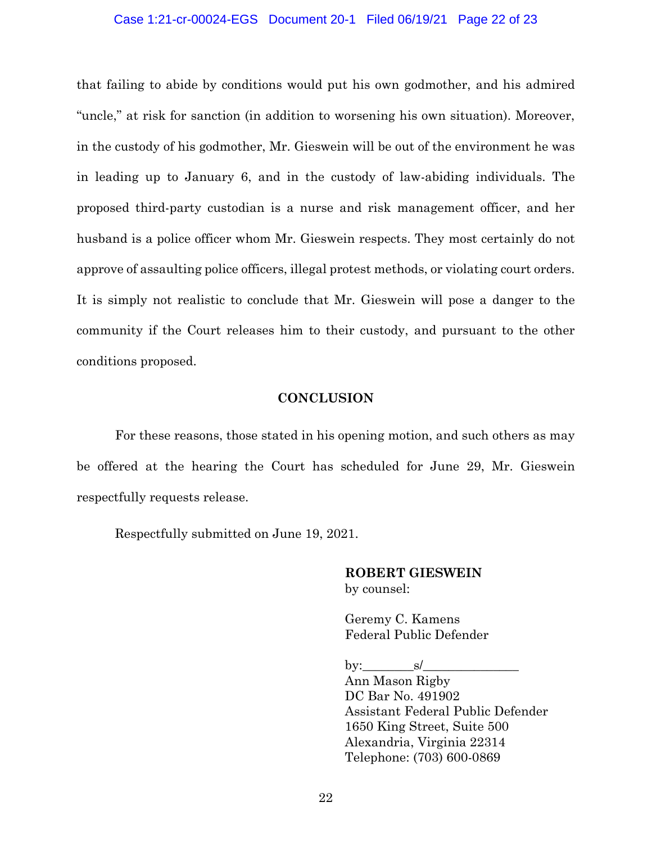## Case 1:21-cr-00024-EGS Document 20-1 Filed 06/19/21 Page 22 of 23

that failing to abide by conditions would put his own godmother, and his admired "uncle," at risk for sanction (in addition to worsening his own situation). Moreover, in the custody of his godmother, Mr. Gieswein will be out of the environment he was in leading up to January 6, and in the custody of law-abiding individuals. The proposed third-party custodian is a nurse and risk management officer, and her husband is a police officer whom Mr. Gieswein respects. They most certainly do not approve of assaulting police officers, illegal protest methods, or violating court orders. It is simply not realistic to conclude that Mr. Gieswein will pose a danger to the community if the Court releases him to their custody, and pursuant to the other conditions proposed.

# **CONCLUSION**

For these reasons, those stated in his opening motion, and such others as may be offered at the hearing the Court has scheduled for June 29, Mr. Gieswein respectfully requests release.

Respectfully submitted on June 19, 2021.

# **ROBERT GIESWEIN** by counsel:

Geremy C. Kamens Federal Public Defender

by:  $\qquad s/$ 

Ann Mason Rigby DC Bar No. 491902 Assistant Federal Public Defender 1650 King Street, Suite 500 Alexandria, Virginia 22314 Telephone: (703) 600-0869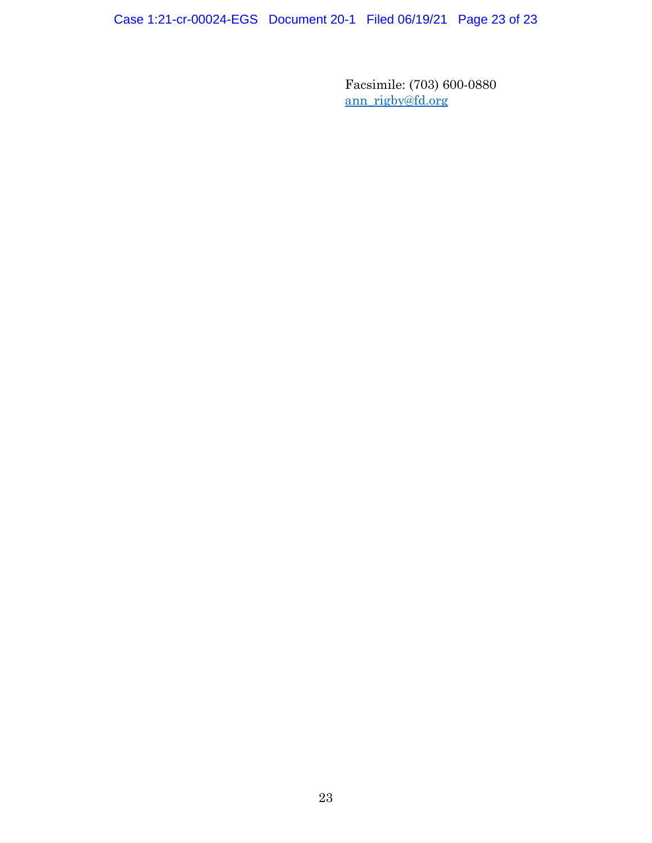Case 1:21-cr-00024-EGS Document 20-1 Filed 06/19/21 Page 23 of 23

Facsimile: (703) 600-0880 ann\_rigby@fd.org